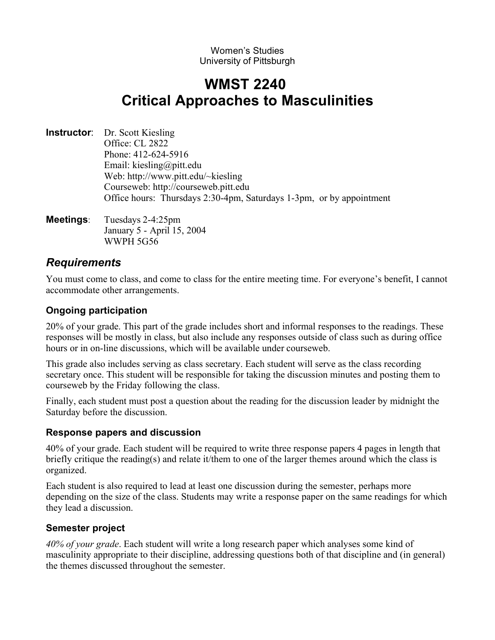#### Women's Studies University of Pittsburgh

# **WMST 2240 Critical Approaches to Masculinities**

- **Instructor**: Dr. Scott Kiesling Office: CL 2822 Phone: 412-624-5916 Email: kiesling@pitt.edu Web: http://www.pitt.edu/~kiesling Courseweb: http://courseweb.pitt.edu Office hours: Thursdays 2:30-4pm, Saturdays 1-3pm, or by appointment
- **Meetings**: Tuesdays 2-4:25pm January 5 - April 15, 2004 WWPH 5G56

# *Requirements*

You must come to class, and come to class for the entire meeting time. For everyone's benefit, I cannot accommodate other arrangements.

# **Ongoing participation**

20% of your grade. This part of the grade includes short and informal responses to the readings. These responses will be mostly in class, but also include any responses outside of class such as during office hours or in on-line discussions, which will be available under courseweb.

This grade also includes serving as class secretary. Each student will serve as the class recording secretary once. This student will be responsible for taking the discussion minutes and posting them to courseweb by the Friday following the class.

Finally, each student must post a question about the reading for the discussion leader by midnight the Saturday before the discussion.

# **Response papers and discussion**

40% of your grade. Each student will be required to write three response papers 4 pages in length that briefly critique the reading(s) and relate it/them to one of the larger themes around which the class is organized.

Each student is also required to lead at least one discussion during the semester, perhaps more depending on the size of the class. Students may write a response paper on the same readings for which they lead a discussion.

# **Semester project**

*40% of your grade*. Each student will write a long research paper which analyses some kind of masculinity appropriate to their discipline, addressing questions both of that discipline and (in general) the themes discussed throughout the semester.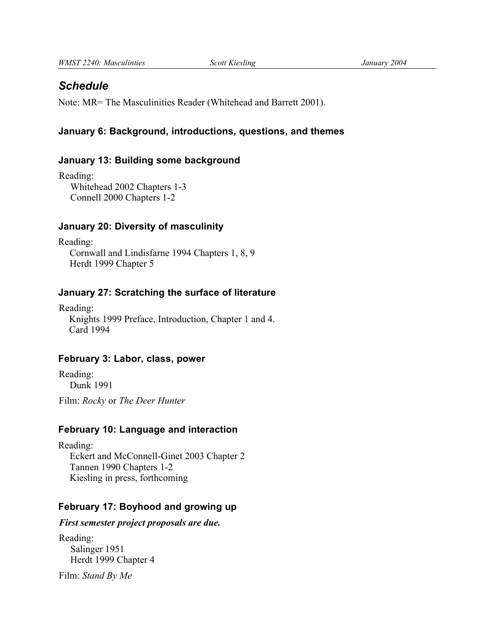# *Schedule*

Note: MR= The Masculinities Reader (Whitehead and Barrett 2001).

## **January 6: Background, introductions, questions, and themes**

#### **January 13: Building some background**

Reading: Whitehead 2002 Chapters 1-3 Connell 2000 Chapters 1-2

#### **January 20: Diversity of masculinity**

Reading: Cornwall and Lindisfarne 1994 Chapters 1, 8, 9 Herdt 1999 Chapter 5

## **January 27: Scratching the surface of literature**

Reading: Knights 1999 Preface, Introduction, Chapter 1 and 4. Card 1994

## **February 3: Labor, class, power**

Reading: Dunk 1991

Film: *Rocky* or *The Deer Hunter*

## **February 10: Language and interaction**

Reading: Eckert and McConnell-Ginet 2003 Chapter 2 Tannen 1990 Chapters 1-2 Kiesling in press, forthcoming

## **February 17: Boyhood and growing up**

*First semester project proposals are due.*

Reading: Salinger 1951 Herdt 1999 Chapter 4

Film: *Stand By Me*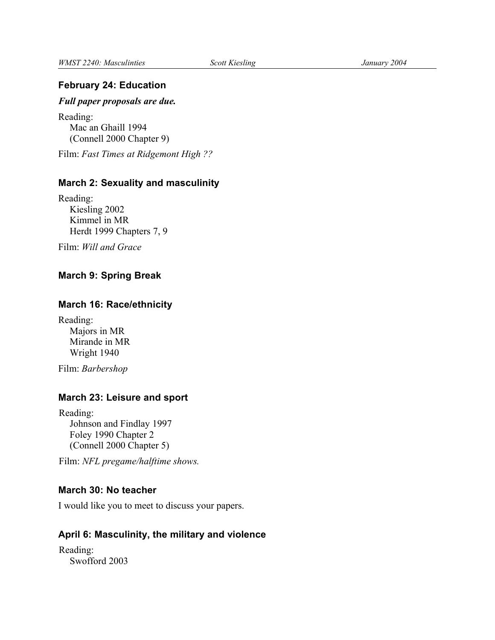### **February 24: Education**

#### *Full paper proposals are due.*

Reading: Mac an Ghaill 1994 (Connell 2000 Chapter 9)

Film: *Fast Times at Ridgemont High ??*

#### **March 2: Sexuality and masculinity**

Reading: Kiesling 2002 Kimmel in MR Herdt 1999 Chapters 7, 9

Film: *Will and Grace*

### **March 9: Spring Break**

#### **March 16: Race/ethnicity**

Reading: Majors in MR Mirande in MR Wright 1940

Film: *Barbershop*

## **March 23: Leisure and sport**

Reading: Johnson and Findlay 1997 Foley 1990 Chapter 2 (Connell 2000 Chapter 5)

Film: *NFL pregame/halftime shows.*

#### **March 30: No teacher**

I would like you to meet to discuss your papers.

#### **April 6: Masculinity, the military and violence**

Reading: Swofford 2003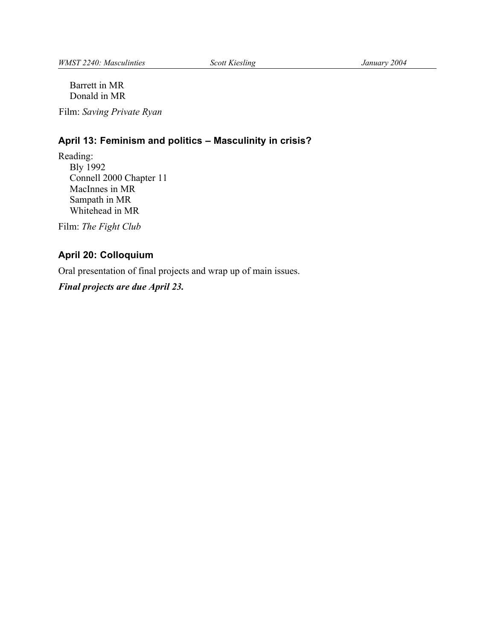Barrett in MR Donald in MR

Film: *Saving Private Ryan*

# **April 13: Feminism and politics – Masculinity in crisis?**

Reading: Bly 1992 Connell 2000 Chapter 11 MacInnes in MR Sampath in MR Whitehead in MR

Film: *The Fight Club*

# **April 20: Colloquium**

Oral presentation of final projects and wrap up of main issues.

*Final projects are due April 23.*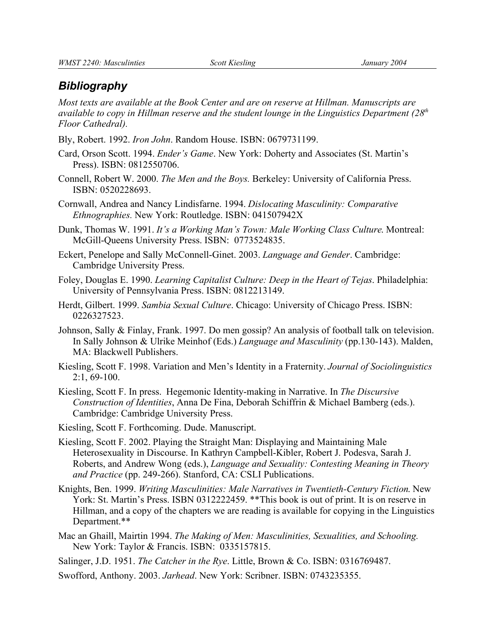## *Bibliography*

*Most texts are available at the Book Center and are on reserve at Hillman. Manuscripts are available to copy in Hillman reserve and the student lounge in the Linguistics Department (28th Floor Cathedral).*

Bly, Robert. 1992. *Iron John*. Random House. ISBN: 0679731199.

- Card, Orson Scott. 1994. *Ender's Game*. New York: Doherty and Associates (St. Martin's Press). ISBN: 0812550706.
- Connell, Robert W. 2000. *The Men and the Boys.* Berkeley: University of California Press. ISBN: 0520228693.
- Cornwall, Andrea and Nancy Lindisfarne. 1994. *Dislocating Masculinity: Comparative Ethnographies.* New York: Routledge. ISBN: 041507942X

Dunk, Thomas W. 1991. *It's a Working Man's Town: Male Working Class Culture*. Montreal: McGill-Queens University Press. ISBN: 0773524835.

- Eckert, Penelope and Sally McConnell-Ginet. 2003. *Language and Gender*. Cambridge: Cambridge University Press.
- Foley, Douglas E. 1990. *Learning Capitalist Culture: Deep in the Heart of Tejas*. Philadelphia: University of Pennsylvania Press. ISBN: 0812213149.
- Herdt, Gilbert. 1999. *Sambia Sexual Culture*. Chicago: University of Chicago Press. ISBN: 0226327523.
- Johnson, Sally & Finlay, Frank. 1997. Do men gossip? An analysis of football talk on television. In Sally Johnson & Ulrike Meinhof (Eds.) *Language and Masculinity* (pp.130-143). Malden, MA: Blackwell Publishers.
- Kiesling, Scott F. 1998. Variation and Men's Identity in a Fraternity. *Journal of Sociolinguistics* 2:1, 69-100.
- Kiesling, Scott F. In press. Hegemonic Identity-making in Narrative. In *The Discursive Construction of Identities*, Anna De Fina, Deborah Schiffrin & Michael Bamberg (eds.). Cambridge: Cambridge University Press.
- Kiesling, Scott F. Forthcoming. Dude. Manuscript.
- Kiesling, Scott F. 2002. Playing the Straight Man: Displaying and Maintaining Male Heterosexuality in Discourse. In Kathryn Campbell-Kibler, Robert J. Podesva, Sarah J. Roberts, and Andrew Wong (eds.), *Language and Sexuality: Contesting Meaning in Theory and Practice* (pp. 249-266). Stanford, CA: CSLI Publications.
- Knights, Ben. 1999. *Writing Masculinities: Male Narratives in Twentieth-Century Fiction*. New York: St. Martin's Press. ISBN 0312222459. \*\* This book is out of print. It is on reserve in Hillman, and a copy of the chapters we are reading is available for copying in the Linguistics Department.\*\*
- Mac an Ghaill, Mairtin 1994. *The Making of Men: Masculinities, Sexualities, and Schooling.* New York: Taylor & Francis. ISBN: 0335157815.
- Salinger, J.D. 1951. *The Catcher in the Rye*. Little, Brown & Co. ISBN: 0316769487.
- Swofford, Anthony. 2003. *Jarhead*. New York: Scribner. ISBN: 0743235355.